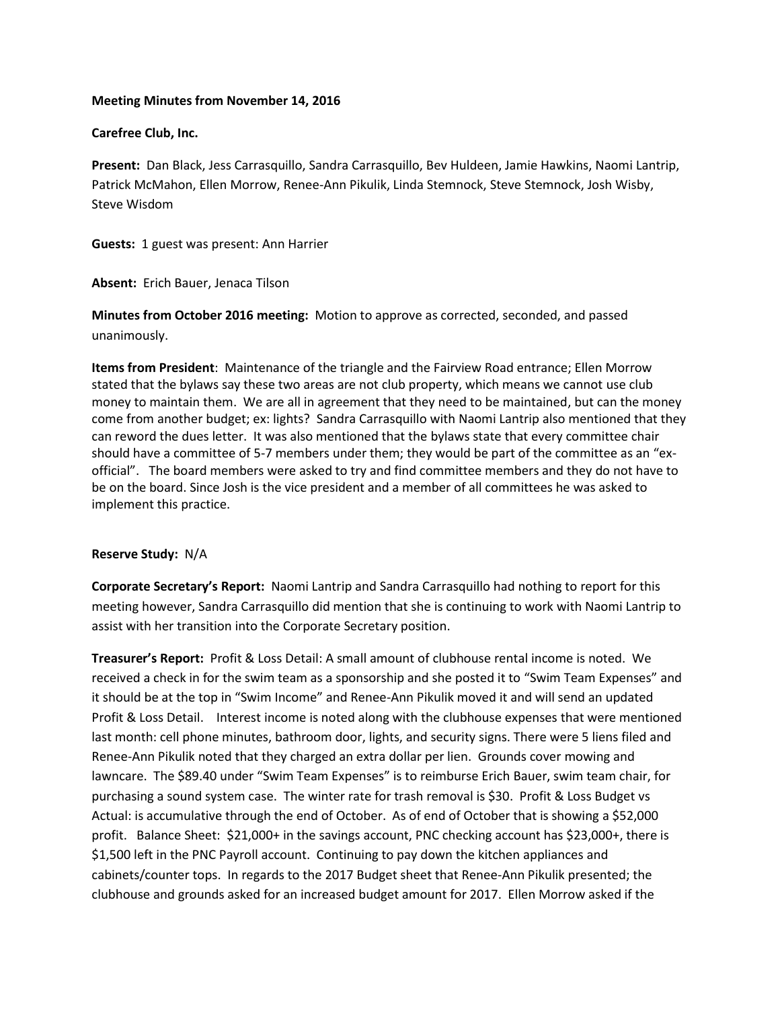## **Meeting Minutes from November 14, 2016**

## **Carefree Club, Inc.**

**Present:** Dan Black, Jess Carrasquillo, Sandra Carrasquillo, Bev Huldeen, Jamie Hawkins, Naomi Lantrip, Patrick McMahon, Ellen Morrow, Renee-Ann Pikulik, Linda Stemnock, Steve Stemnock, Josh Wisby, Steve Wisdom

**Guests:** 1 guest was present: Ann Harrier

**Absent:** Erich Bauer, Jenaca Tilson

**Minutes from October 2016 meeting:** Motion to approve as corrected, seconded, and passed unanimously.

**Items from President**: Maintenance of the triangle and the Fairview Road entrance; Ellen Morrow stated that the bylaws say these two areas are not club property, which means we cannot use club money to maintain them. We are all in agreement that they need to be maintained, but can the money come from another budget; ex: lights? Sandra Carrasquillo with Naomi Lantrip also mentioned that they can reword the dues letter. It was also mentioned that the bylaws state that every committee chair should have a committee of 5-7 members under them; they would be part of the committee as an "exofficial". The board members were asked to try and find committee members and they do not have to be on the board. Since Josh is the vice president and a member of all committees he was asked to implement this practice.

# **Reserve Study:** N/A

**Corporate Secretary's Report:** Naomi Lantrip and Sandra Carrasquillo had nothing to report for this meeting however, Sandra Carrasquillo did mention that she is continuing to work with Naomi Lantrip to assist with her transition into the Corporate Secretary position.

**Treasurer's Report:** Profit & Loss Detail: A small amount of clubhouse rental income is noted. We received a check in for the swim team as a sponsorship and she posted it to "Swim Team Expenses" and it should be at the top in "Swim Income" and Renee-Ann Pikulik moved it and will send an updated Profit & Loss Detail. Interest income is noted along with the clubhouse expenses that were mentioned last month: cell phone minutes, bathroom door, lights, and security signs. There were 5 liens filed and Renee-Ann Pikulik noted that they charged an extra dollar per lien. Grounds cover mowing and lawncare. The \$89.40 under "Swim Team Expenses" is to reimburse Erich Bauer, swim team chair, for purchasing a sound system case. The winter rate for trash removal is \$30. Profit & Loss Budget vs Actual: is accumulative through the end of October. As of end of October that is showing a \$52,000 profit. Balance Sheet: \$21,000+ in the savings account, PNC checking account has \$23,000+, there is \$1,500 left in the PNC Payroll account. Continuing to pay down the kitchen appliances and cabinets/counter tops. In regards to the 2017 Budget sheet that Renee-Ann Pikulik presented; the clubhouse and grounds asked for an increased budget amount for 2017. Ellen Morrow asked if the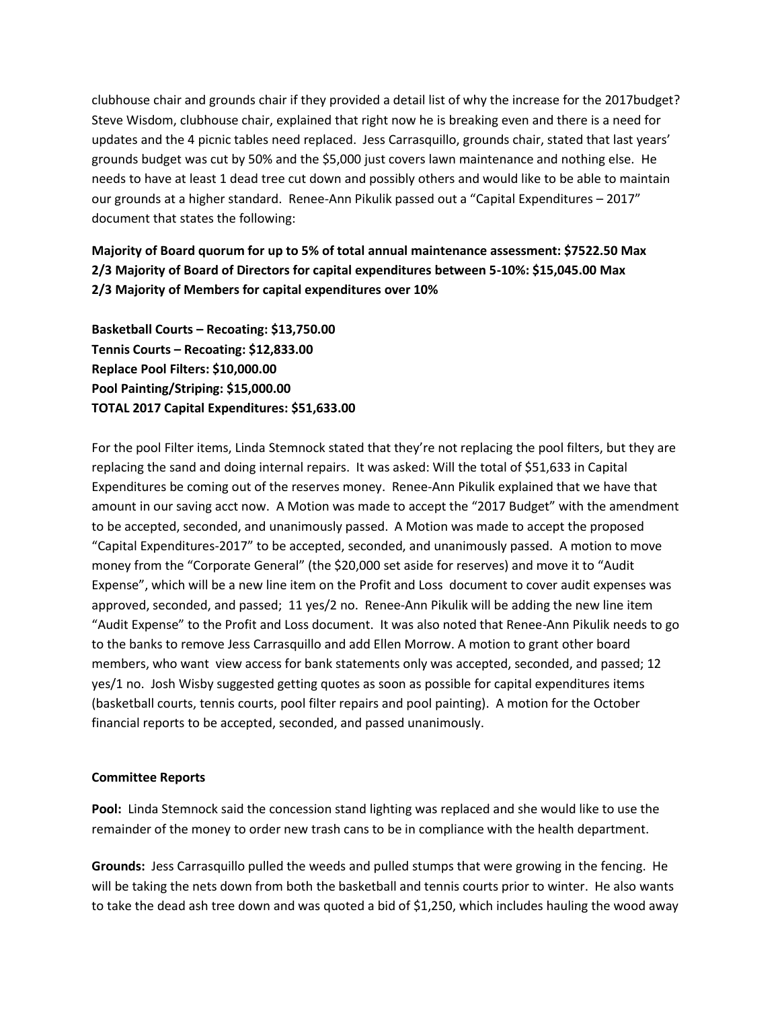clubhouse chair and grounds chair if they provided a detail list of why the increase for the 2017budget? Steve Wisdom, clubhouse chair, explained that right now he is breaking even and there is a need for updates and the 4 picnic tables need replaced. Jess Carrasquillo, grounds chair, stated that last years' grounds budget was cut by 50% and the \$5,000 just covers lawn maintenance and nothing else. He needs to have at least 1 dead tree cut down and possibly others and would like to be able to maintain our grounds at a higher standard. Renee-Ann Pikulik passed out a "Capital Expenditures – 2017" document that states the following:

**Majority of Board quorum for up to 5% of total annual maintenance assessment: \$7522.50 Max 2/3 Majority of Board of Directors for capital expenditures between 5-10%: \$15,045.00 Max 2/3 Majority of Members for capital expenditures over 10%**

**Basketball Courts – Recoating: \$13,750.00 Tennis Courts – Recoating: \$12,833.00 Replace Pool Filters: \$10,000.00 Pool Painting/Striping: \$15,000.00 TOTAL 2017 Capital Expenditures: \$51,633.00**

For the pool Filter items, Linda Stemnock stated that they're not replacing the pool filters, but they are replacing the sand and doing internal repairs. It was asked: Will the total of \$51,633 in Capital Expenditures be coming out of the reserves money. Renee-Ann Pikulik explained that we have that amount in our saving acct now. A Motion was made to accept the "2017 Budget" with the amendment to be accepted, seconded, and unanimously passed. A Motion was made to accept the proposed "Capital Expenditures-2017" to be accepted, seconded, and unanimously passed. A motion to move money from the "Corporate General" (the \$20,000 set aside for reserves) and move it to "Audit Expense", which will be a new line item on the Profit and Loss document to cover audit expenses was approved, seconded, and passed; 11 yes/2 no. Renee-Ann Pikulik will be adding the new line item "Audit Expense" to the Profit and Loss document. It was also noted that Renee-Ann Pikulik needs to go to the banks to remove Jess Carrasquillo and add Ellen Morrow. A motion to grant other board members, who want view access for bank statements only was accepted, seconded, and passed; 12 yes/1 no. Josh Wisby suggested getting quotes as soon as possible for capital expenditures items (basketball courts, tennis courts, pool filter repairs and pool painting). A motion for the October financial reports to be accepted, seconded, and passed unanimously.

#### **Committee Reports**

**Pool:** Linda Stemnock said the concession stand lighting was replaced and she would like to use the remainder of the money to order new trash cans to be in compliance with the health department.

**Grounds:** Jess Carrasquillo pulled the weeds and pulled stumps that were growing in the fencing. He will be taking the nets down from both the basketball and tennis courts prior to winter. He also wants to take the dead ash tree down and was quoted a bid of \$1,250, which includes hauling the wood away